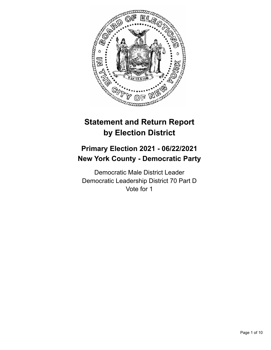

# **Statement and Return Report by Election District**

## **Primary Election 2021 - 06/22/2021 New York County - Democratic Party**

Democratic Male District Leader Democratic Leadership District 70 Part D Vote for 1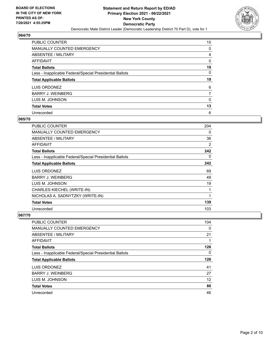

| PUBLIC COUNTER                                           | 15       |
|----------------------------------------------------------|----------|
| MANUALLY COUNTED EMERGENCY                               | 0        |
| ABSENTEE / MILITARY                                      | 4        |
| AFFIDAVIT                                                | 0        |
| <b>Total Ballots</b>                                     | 19       |
| Less - Inapplicable Federal/Special Presidential Ballots | $\Omega$ |
| <b>Total Applicable Ballots</b>                          | 19       |
| LUIS ORDONEZ                                             | 6        |
| <b>BARRY J. WEINBERG</b>                                 | 7        |
| LUIS M. JOHNSON                                          | 0        |
| <b>Total Votes</b>                                       | 13       |
| Unrecorded                                               | 6        |

#### **065/70**

| <b>PUBLIC COUNTER</b>                                    | 204 |
|----------------------------------------------------------|-----|
| <b>MANUALLY COUNTED EMERGENCY</b>                        | 0   |
| ABSENTEE / MILITARY                                      | 36  |
| <b>AFFIDAVIT</b>                                         | 2   |
| <b>Total Ballots</b>                                     | 242 |
| Less - Inapplicable Federal/Special Presidential Ballots | 0   |
| <b>Total Applicable Ballots</b>                          | 242 |
| LUIS ORDONEZ                                             | 69  |
| <b>BARRY J. WEINBERG</b>                                 | 49  |
| LUIS M. JOHNSON                                          | 19  |
| CHARLES KIECHEL (WRITE-IN)                               | 1   |
| NICHOLAS A. SADNYTZKY (WRITE-IN)                         | 1   |
| <b>Total Votes</b>                                       | 139 |
| Unrecorded                                               | 103 |

| <b>PUBLIC COUNTER</b>                                    | 104 |
|----------------------------------------------------------|-----|
| <b>MANUALLY COUNTED EMERGENCY</b>                        | 0   |
| ABSENTEE / MILITARY                                      | 21  |
| AFFIDAVIT                                                |     |
| <b>Total Ballots</b>                                     | 126 |
| Less - Inapplicable Federal/Special Presidential Ballots | 0   |
|                                                          |     |
| <b>Total Applicable Ballots</b>                          | 126 |
| LUIS ORDONEZ                                             | 41  |
| <b>BARRY J. WEINBERG</b>                                 | 27  |
| LUIS M. JOHNSON                                          | 12  |
| <b>Total Votes</b>                                       | 80  |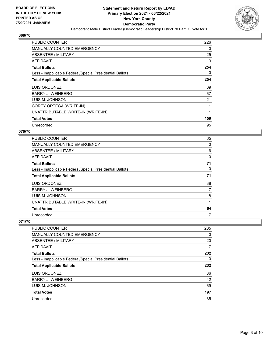

| PUBLIC COUNTER                                           | 226      |
|----------------------------------------------------------|----------|
| <b>MANUALLY COUNTED EMERGENCY</b>                        | 0        |
| ABSENTEE / MILITARY                                      | 25       |
| AFFIDAVIT                                                | 3        |
| <b>Total Ballots</b>                                     | 254      |
| Less - Inapplicable Federal/Special Presidential Ballots | $\Omega$ |
| <b>Total Applicable Ballots</b>                          | 254      |
| LUIS ORDONEZ                                             | 69       |
| <b>BARRY J. WEINBERG</b>                                 | 67       |
| LUIS M. JOHNSON                                          | 21       |
| COREY ORTEGA (WRITE-IN)                                  |          |
| UNATTRIBUTABLE WRITE-IN (WRITE-IN)                       | 1        |
| <b>Total Votes</b>                                       | 159      |
| Unrecorded                                               | 95       |

#### **070/70**

| <b>PUBLIC COUNTER</b>                                    | 65 |
|----------------------------------------------------------|----|
| MANUALLY COUNTED EMERGENCY                               | 0  |
| ABSENTEE / MILITARY                                      | 6  |
| AFFIDAVIT                                                | 0  |
| <b>Total Ballots</b>                                     | 71 |
| Less - Inapplicable Federal/Special Presidential Ballots | 0  |
| <b>Total Applicable Ballots</b>                          | 71 |
| LUIS ORDONEZ                                             | 38 |
| <b>BARRY J. WEINBERG</b>                                 | 7  |
| LUIS M. JOHNSON                                          | 18 |
| UNATTRIBUTABLE WRITE-IN (WRITE-IN)                       |    |
| <b>Total Votes</b>                                       | 64 |
| Unrecorded                                               | 7  |

| <b>PUBLIC COUNTER</b>                                    | 205      |
|----------------------------------------------------------|----------|
| MANUALLY COUNTED EMERGENCY                               | $\Omega$ |
| ABSENTEE / MILITARY                                      | 20       |
| AFFIDAVIT                                                | 7        |
| <b>Total Ballots</b>                                     | 232      |
| Less - Inapplicable Federal/Special Presidential Ballots | $\Omega$ |
| <b>Total Applicable Ballots</b>                          | 232      |
| LUIS ORDONEZ                                             | 86       |
| <b>BARRY J. WEINBERG</b>                                 | 42       |
| LUIS M. JOHNSON                                          | 69       |
| <b>Total Votes</b>                                       | 197      |
| Unrecorded                                               | 35       |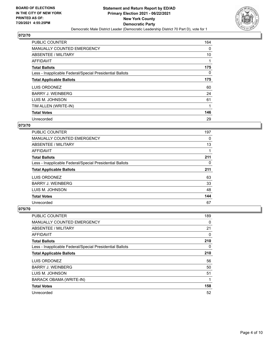

| <b>PUBLIC COUNTER</b>                                    | 164      |
|----------------------------------------------------------|----------|
| <b>MANUALLY COUNTED EMERGENCY</b>                        | 0        |
| ABSENTEE / MILITARY                                      | 10       |
| AFFIDAVIT                                                |          |
| <b>Total Ballots</b>                                     | 175      |
| Less - Inapplicable Federal/Special Presidential Ballots | $\Omega$ |
| <b>Total Applicable Ballots</b>                          | 175      |
| LUIS ORDONEZ                                             | 60       |
| <b>BARRY J. WEINBERG</b>                                 | 24       |
| LUIS M. JOHNSON                                          | 61       |
| TIM ALLEN (WRITE-IN)                                     |          |
| <b>Total Votes</b>                                       | 146      |
| Unrecorded                                               | 29       |

## **073/70**

| PUBLIC COUNTER                                           | 197 |
|----------------------------------------------------------|-----|
| MANUALLY COUNTED EMERGENCY                               | 0   |
| ABSENTEE / MILITARY                                      | 13  |
| AFFIDAVIT                                                |     |
| <b>Total Ballots</b>                                     | 211 |
| Less - Inapplicable Federal/Special Presidential Ballots | 0   |
| <b>Total Applicable Ballots</b>                          | 211 |
| LUIS ORDONEZ                                             | 63  |
| <b>BARRY J. WEINBERG</b>                                 | 33  |
| LUIS M. JOHNSON                                          | 48  |
| <b>Total Votes</b>                                       | 144 |
| Unrecorded                                               | 67  |

| PUBLIC COUNTER                                           | 189 |
|----------------------------------------------------------|-----|
| MANUALLY COUNTED EMERGENCY                               | 0   |
| ABSENTEE / MILITARY                                      | 21  |
| AFFIDAVIT                                                | 0   |
| <b>Total Ballots</b>                                     | 210 |
| Less - Inapplicable Federal/Special Presidential Ballots | 0   |
| <b>Total Applicable Ballots</b>                          | 210 |
| LUIS ORDONEZ                                             | 56  |
| <b>BARRY J. WEINBERG</b>                                 | 50  |
| LUIS M. JOHNSON                                          | 51  |
| <b>BARACK OBAMA (WRITE-IN)</b>                           | 1   |
| <b>Total Votes</b>                                       | 158 |
| Unrecorded                                               | 52  |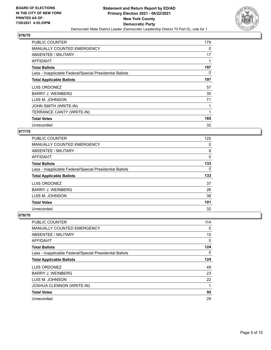

| <b>PUBLIC COUNTER</b>                                    | 179 |
|----------------------------------------------------------|-----|
| <b>MANUALLY COUNTED EMERGENCY</b>                        | 0   |
| ABSENTEE / MILITARY                                      | 17  |
| AFFIDAVIT                                                |     |
| <b>Total Ballots</b>                                     | 197 |
| Less - Inapplicable Federal/Special Presidential Ballots | 0   |
| <b>Total Applicable Ballots</b>                          | 197 |
| LUIS ORDONEZ                                             | 57  |
| <b>BARRY J. WEINBERG</b>                                 | 35  |
| LUIS M. JOHNSON                                          | 71  |
| JOHN SMITH (WRITE-IN)                                    |     |
| TERRANCE CANTY (WRITE-IN)                                | 1   |
| <b>Total Votes</b>                                       | 165 |
| Unrecorded                                               | 32  |

#### **077/70**

| <b>PUBLIC COUNTER</b>                                    | 125 |
|----------------------------------------------------------|-----|
| <b>MANUALLY COUNTED EMERGENCY</b>                        | 0   |
| ABSENTEE / MILITARY                                      | 8   |
| <b>AFFIDAVIT</b>                                         | 0   |
| <b>Total Ballots</b>                                     | 133 |
| Less - Inapplicable Federal/Special Presidential Ballots | 0   |
| <b>Total Applicable Ballots</b>                          | 133 |
| LUIS ORDONEZ                                             | 37  |
| <b>BARRY J. WEINBERG</b>                                 | 26  |
| LUIS M. JOHNSON                                          | 38  |
| <b>Total Votes</b>                                       | 101 |
| Unrecorded                                               | 32  |

| PUBLIC COUNTER                                           | 114 |
|----------------------------------------------------------|-----|
| <b>MANUALLY COUNTED EMERGENCY</b>                        | 0   |
| ABSENTEE / MILITARY                                      | 10  |
| AFFIDAVIT                                                | 0   |
| <b>Total Ballots</b>                                     | 124 |
| Less - Inapplicable Federal/Special Presidential Ballots | 0   |
| <b>Total Applicable Ballots</b>                          | 124 |
| LUIS ORDONEZ                                             | 49  |
| <b>BARRY J. WEINBERG</b>                                 | 23  |
| LUIS M. JOHNSON                                          | 22  |
| <b>JOSHUA CLENNON (WRITE-IN)</b>                         | 1   |
| <b>Total Votes</b>                                       | 95  |
| Unrecorded                                               | 29  |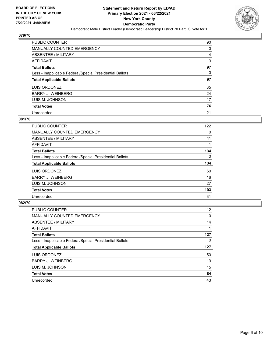

| PUBLIC COUNTER                                           | 90 |
|----------------------------------------------------------|----|
| <b>MANUALLY COUNTED EMERGENCY</b>                        | 0  |
| <b>ABSENTEE / MILITARY</b>                               | 4  |
| AFFIDAVIT                                                | 3  |
| <b>Total Ballots</b>                                     | 97 |
| Less - Inapplicable Federal/Special Presidential Ballots | 0  |
| <b>Total Applicable Ballots</b>                          | 97 |
| LUIS ORDONEZ                                             | 35 |
| <b>BARRY J. WEINBERG</b>                                 | 24 |
| LUIS M. JOHNSON                                          | 17 |
| <b>Total Votes</b>                                       | 76 |
| Unrecorded                                               | 21 |

#### **081/70**

| <b>PUBLIC COUNTER</b>                                    | 122      |
|----------------------------------------------------------|----------|
| <b>MANUALLY COUNTED EMERGENCY</b>                        | 0        |
| ABSENTEE / MILITARY                                      | 11       |
| AFFIDAVIT                                                |          |
| <b>Total Ballots</b>                                     | 134      |
| Less - Inapplicable Federal/Special Presidential Ballots | $\Omega$ |
| <b>Total Applicable Ballots</b>                          | 134      |
| LUIS ORDONEZ                                             | 60       |
| <b>BARRY J. WEINBERG</b>                                 | 16       |
| LUIS M. JOHNSON                                          | 27       |
| <b>Total Votes</b>                                       | 103      |
| Unrecorded                                               | 31       |

| <b>PUBLIC COUNTER</b>                                    | 112      |
|----------------------------------------------------------|----------|
| <b>MANUALLY COUNTED EMERGENCY</b>                        | 0        |
| ABSENTEE / MILITARY                                      | 14       |
| <b>AFFIDAVIT</b>                                         |          |
| <b>Total Ballots</b>                                     | 127      |
| Less - Inapplicable Federal/Special Presidential Ballots | $\Omega$ |
| <b>Total Applicable Ballots</b>                          | 127      |
| LUIS ORDONEZ                                             | 50       |
| <b>BARRY J. WEINBERG</b>                                 | 19       |
| LUIS M. JOHNSON                                          | 15       |
| <b>Total Votes</b>                                       | 84       |
|                                                          |          |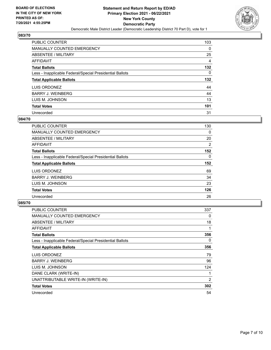

| <b>PUBLIC COUNTER</b>                                    | 103      |
|----------------------------------------------------------|----------|
| MANUALLY COUNTED EMERGENCY                               | 0        |
| ABSENTEE / MILITARY                                      | 25       |
| AFFIDAVIT                                                | 4        |
| <b>Total Ballots</b>                                     | 132      |
| Less - Inapplicable Federal/Special Presidential Ballots | $\Omega$ |
| <b>Total Applicable Ballots</b>                          | 132      |
| LUIS ORDONEZ                                             | 44       |
| <b>BARRY J. WEINBERG</b>                                 | 44       |
| LUIS M. JOHNSON                                          | 13       |
| <b>Total Votes</b>                                       | 101      |
|                                                          |          |

#### **084/70**

| <b>PUBLIC COUNTER</b>                                    | 130      |
|----------------------------------------------------------|----------|
| <b>MANUALLY COUNTED EMERGENCY</b>                        | 0        |
| ABSENTEE / MILITARY                                      | 20       |
| <b>AFFIDAVIT</b>                                         | 2        |
| <b>Total Ballots</b>                                     | 152      |
| Less - Inapplicable Federal/Special Presidential Ballots | $\Omega$ |
| <b>Total Applicable Ballots</b>                          | 152      |
| LUIS ORDONEZ                                             | 69       |
| <b>BARRY J. WEINBERG</b>                                 | 34       |
| LUIS M. JOHNSON                                          | 23       |
| <b>Total Votes</b>                                       | 126      |
| Unrecorded                                               | 26       |

| <b>PUBLIC COUNTER</b>                                    | 337 |
|----------------------------------------------------------|-----|
| <b>MANUALLY COUNTED EMERGENCY</b>                        | 0   |
| ABSENTEE / MILITARY                                      | 18  |
| AFFIDAVIT                                                | 1   |
| <b>Total Ballots</b>                                     | 356 |
| Less - Inapplicable Federal/Special Presidential Ballots | 0   |
| <b>Total Applicable Ballots</b>                          | 356 |
| LUIS ORDONEZ                                             | 79  |
| <b>BARRY J. WEINBERG</b>                                 | 96  |
| LUIS M. JOHNSON                                          | 124 |
| DANE CLARK (WRITE-IN)                                    | 1   |
| UNATTRIBUTABLE WRITE-IN (WRITE-IN)                       | 2   |
| <b>Total Votes</b>                                       | 302 |
| Unrecorded                                               | 54  |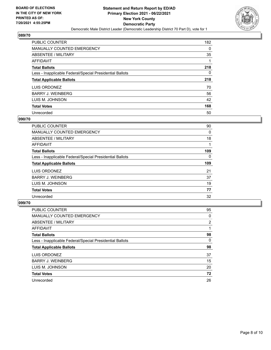

| <b>PUBLIC COUNTER</b>                                    | 182 |
|----------------------------------------------------------|-----|
| <b>MANUALLY COUNTED EMERGENCY</b>                        | 0   |
| ABSENTEE / MILITARY                                      | 35  |
| AFFIDAVIT                                                |     |
| <b>Total Ballots</b>                                     | 218 |
| Less - Inapplicable Federal/Special Presidential Ballots | 0   |
| <b>Total Applicable Ballots</b>                          | 218 |
| LUIS ORDONEZ                                             | 70  |
| <b>BARRY J. WEINBERG</b>                                 | 56  |
| LUIS M. JOHNSON                                          | 42  |
| <b>Total Votes</b>                                       | 168 |
| Unrecorded                                               | 50  |

#### **090/70**

| <b>PUBLIC COUNTER</b>                                    | 90       |
|----------------------------------------------------------|----------|
| <b>MANUALLY COUNTED EMERGENCY</b>                        | 0        |
| ABSENTEE / MILITARY                                      | 18       |
| <b>AFFIDAVIT</b>                                         |          |
| <b>Total Ballots</b>                                     | 109      |
| Less - Inapplicable Federal/Special Presidential Ballots | $\Omega$ |
| <b>Total Applicable Ballots</b>                          | 109      |
| LUIS ORDONEZ                                             | 21       |
| <b>BARRY J. WEINBERG</b>                                 | 37       |
| LUIS M. JOHNSON                                          | 19       |
| <b>Total Votes</b>                                       | 77       |
| Unrecorded                                               | 32       |

| <b>PUBLIC COUNTER</b>                                    | 95             |
|----------------------------------------------------------|----------------|
| MANUALLY COUNTED EMERGENCY                               | 0              |
| ABSENTEE / MILITARY                                      | $\overline{2}$ |
| AFFIDAVIT                                                |                |
| <b>Total Ballots</b>                                     | 98             |
| Less - Inapplicable Federal/Special Presidential Ballots | $\Omega$       |
| <b>Total Applicable Ballots</b>                          | 98             |
| LUIS ORDONEZ                                             | 37             |
| <b>BARRY J. WEINBERG</b>                                 | 15             |
| LUIS M. JOHNSON                                          | 20             |
| <b>Total Votes</b>                                       | 72             |
| Unrecorded                                               | 26             |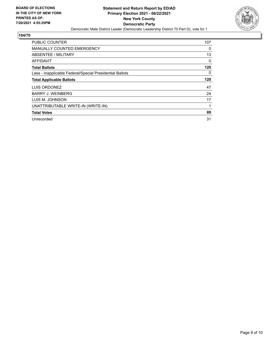

| PUBLIC COUNTER                                           | 107      |
|----------------------------------------------------------|----------|
| <b>MANUALLY COUNTED EMERGENCY</b>                        | $\Omega$ |
| ABSENTEE / MILITARY                                      | 13       |
| AFFIDAVIT                                                | 0        |
| <b>Total Ballots</b>                                     | 120      |
| Less - Inapplicable Federal/Special Presidential Ballots | $\Omega$ |
| <b>Total Applicable Ballots</b>                          | 120      |
| LUIS ORDONEZ                                             | 47       |
| <b>BARRY J. WEINBERG</b>                                 | 24       |
| LUIS M. JOHNSON                                          | 17       |
| UNATTRIBUTABLE WRITE-IN (WRITE-IN)                       |          |
| <b>Total Votes</b>                                       | 89       |
| Unrecorded                                               | 31       |